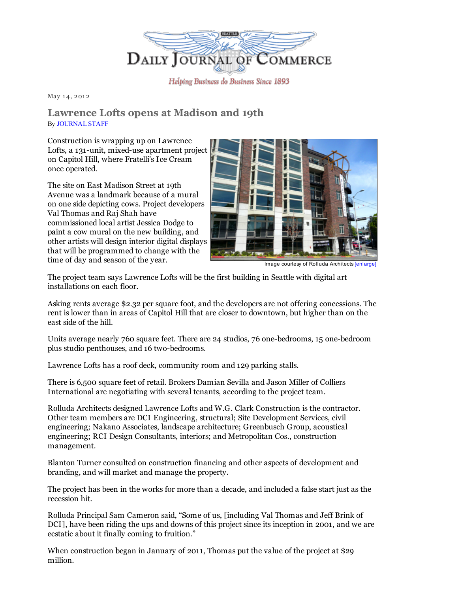

Helping Business do Business Since 1893

May 14, 2012

## Lawrence Lofts opens at Madison and 19th By [JOURNAL](mailto:maudes@djc.com) STAFF

Construction is wrapping up on Lawrence Lofts, a 131-unit, mixed-use apartment project on Capitol Hill, where Fratelli's Ice Cream once operated.

The site on East Madison Street at 19th Avenue was a landmark because of a mural on one side depicting cows. Project developers Val Thomas and Raj Shah have commissioned local artist Jessica Dodge to paint a cow mural on the new building, and other artists will design interior digital displays that will be programmed to change with the time of day and season of the year.



Image courtesy of Rolluda Architects [\[enlarge\]](http://www.djc.com/stories/images/20120514/LawrenceLofts_big.jpg)

The project team says Lawrence Lofts will be the first building in Seattle with digital art installations on each floor.

Asking rents average \$2.32 per square foot, and the developers are not offering concessions. The rent is lower than in areas of Capitol Hill that are closer to downtown, but higher than on the east side of the hill.

Units average nearly 760 square feet. There are 24 studios, 76 one-bedrooms, 15 one-bedroom plus studio penthouses, and 16 two-bedrooms.

Lawrence Lofts has a roof deck, community room and 129 parking stalls.

There is 6,500 square feet of retail. Brokers Damian Sevilla and Jason Miller of Colliers International are negotiating with several tenants, according to the project team.

Rolluda Architects designed Lawrence Lofts and W.G. Clark Construction is the contractor. Other team members are DCI Engineering, structural; Site Development Services, civil engineering; Nakano Associates, landscape architecture; Greenbusch Group, acoustical engineering; RCI Design Consultants, interiors; and Metropolitan Cos., construction management.

Blanton Turner consulted on construction financing and other aspects of development and branding, and will market and manage the property.

The project has been in the works for more than a decade, and included a false start just as the recession hit.

Rolluda Principal Sam Cameron said, "Some of us, [including Val Thomas and Jeff Brink of DCI], have been riding the ups and downs of this project since its inception in 2001, and we are ecstatic about it finally coming to fruition."

When construction began in January of 2011, Thomas put the value of the project at \$29 million.